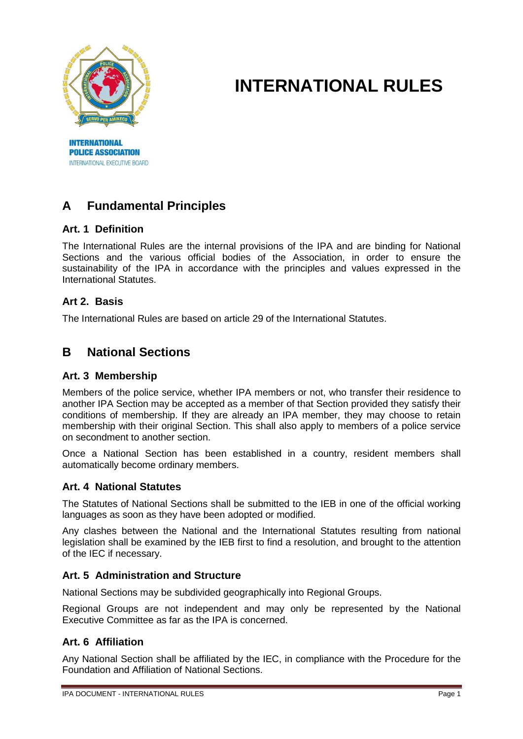

**POLICE ASSOCIATION** INTERNATIONAL EXECUTIVE BOARD

# **INTERNATIONAL RULES**

# **A Fundamental Principles**

# **Art. 1 Definition**

The International Rules are the internal provisions of the IPA and are binding for National Sections and the various official bodies of the Association, in order to ensure the sustainability of the IPA in accordance with the principles and values expressed in the International Statutes.

# **Art 2. Basis**

The International Rules are based on article 29 of the International Statutes.

# **B National Sections**

### **Art. 3 Membership**

Members of the police service, whether IPA members or not, who transfer their residence to another IPA Section may be accepted as a member of that Section provided they satisfy their conditions of membership. If they are already an IPA member, they may choose to retain membership with their original Section. This shall also apply to members of a police service on secondment to another section.

Once a National Section has been established in a country, resident members shall automatically become ordinary members.

### **Art. 4 National Statutes**

The Statutes of National Sections shall be submitted to the IEB in one of the official working languages as soon as they have been adopted or modified.

Any clashes between the National and the International Statutes resulting from national legislation shall be examined by the IEB first to find a resolution, and brought to the attention of the IEC if necessary.

### **Art. 5 Administration and Structure**

National Sections may be subdivided geographically into Regional Groups.

Regional Groups are not independent and may only be represented by the National Executive Committee as far as the IPA is concerned.

# **Art. 6 Affiliation**

Any National Section shall be affiliated by the IEC, in compliance with the Procedure for the Foundation and Affiliation of National Sections.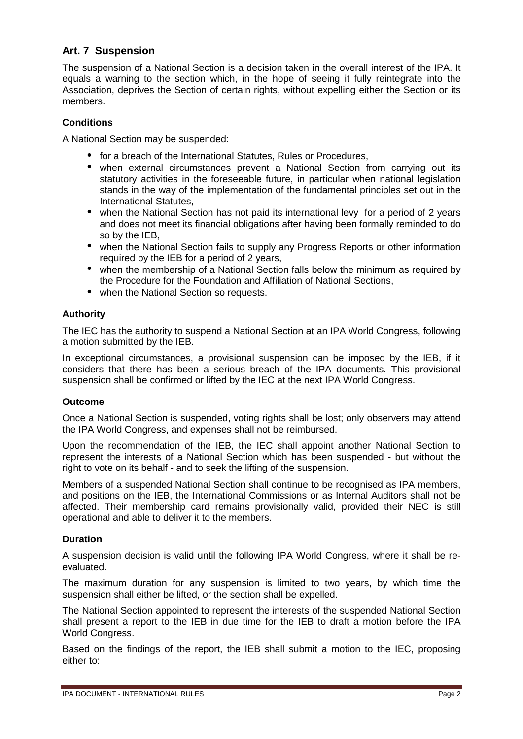# **Art. 7 Suspension**

The suspension of a National Section is a decision taken in the overall interest of the IPA. It equals a warning to the section which, in the hope of seeing it fully reintegrate into the Association, deprives the Section of certain rights, without expelling either the Section or its members.

### **Conditions**

A National Section may be suspended:

- for a breach of the International Statutes, Rules or Procedures,
- when external circumstances prevent a National Section from carrying out its statutory activities in the foreseeable future, in particular when national legislation stands in the way of the implementation of the fundamental principles set out in the International Statutes,
- when the National Section has not paid its international levy for a period of 2 years and does not meet its financial obligations after having been formally reminded to do so by the IEB,
- when the National Section fails to supply any Progress Reports or other information required by the IEB for a period of 2 years,
- when the membership of a National Section falls below the minimum as required by the Procedure for the Foundation and Affiliation of National Sections,
- when the National Section so requests.

# **Authority**

The IEC has the authority to suspend a National Section at an IPA World Congress, following a motion submitted by the IEB.

In exceptional circumstances, a provisional suspension can be imposed by the IEB, if it considers that there has been a serious breach of the IPA documents. This provisional suspension shall be confirmed or lifted by the IEC at the next IPA World Congress.

### **Outcome**

Once a National Section is suspended, voting rights shall be lost; only observers may attend the IPA World Congress, and expenses shall not be reimbursed.

Upon the recommendation of the IEB, the IEC shall appoint another National Section to represent the interests of a National Section which has been suspended - but without the right to vote on its behalf - and to seek the lifting of the suspension.

Members of a suspended National Section shall continue to be recognised as IPA members, and positions on the IEB, the International Commissions or as Internal Auditors shall not be affected. Their membership card remains provisionally valid, provided their NEC is still operational and able to deliver it to the members.

### **Duration**

A suspension decision is valid until the following IPA World Congress, where it shall be reevaluated.

The maximum duration for any suspension is limited to two years, by which time the suspension shall either be lifted, or the section shall be expelled.

The National Section appointed to represent the interests of the suspended National Section shall present a report to the IEB in due time for the IEB to draft a motion before the IPA World Congress.

Based on the findings of the report, the IEB shall submit a motion to the IEC, proposing either to: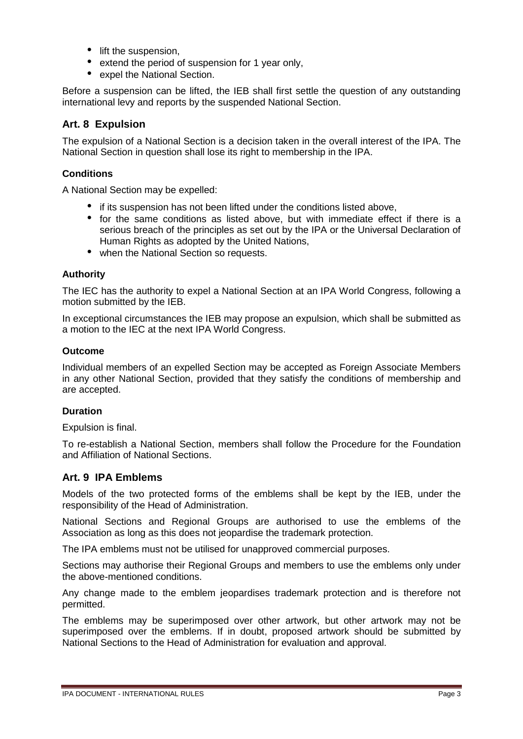- lift the suspension,
- extend the period of suspension for 1 year only,
- expel the National Section.

Before a suspension can be lifted, the IEB shall first settle the question of any outstanding international levy and reports by the suspended National Section.

### **Art. 8 Expulsion**

The expulsion of a National Section is a decision taken in the overall interest of the IPA. The National Section in question shall lose its right to membership in the IPA.

### **Conditions**

A National Section may be expelled:

- if its suspension has not been lifted under the conditions listed above,
- for the same conditions as listed above, but with immediate effect if there is a serious breach of the principles as set out by the IPA or the Universal Declaration of Human Rights as adopted by the United Nations,
- when the National Section so requests.

#### **Authority**

The IEC has the authority to expel a National Section at an IPA World Congress, following a motion submitted by the IEB.

In exceptional circumstances the IEB may propose an expulsion, which shall be submitted as a motion to the IEC at the next IPA World Congress.

#### **Outcome**

Individual members of an expelled Section may be accepted as Foreign Associate Members in any other National Section, provided that they satisfy the conditions of membership and are accepted.

### **Duration**

Expulsion is final.

To re-establish a National Section, members shall follow the Procedure for the Foundation and Affiliation of National Sections.

### **Art. 9 IPA Emblems**

Models of the two protected forms of the emblems shall be kept by the IEB, under the responsibility of the Head of Administration.

National Sections and Regional Groups are authorised to use the emblems of the Association as long as this does not jeopardise the trademark protection.

The IPA emblems must not be utilised for unapproved commercial purposes.

Sections may authorise their Regional Groups and members to use the emblems only under the above-mentioned conditions.

Any change made to the emblem jeopardises trademark protection and is therefore not permitted.

The emblems may be superimposed over other artwork, but other artwork may not be superimposed over the emblems. If in doubt, proposed artwork should be submitted by National Sections to the Head of Administration for evaluation and approval.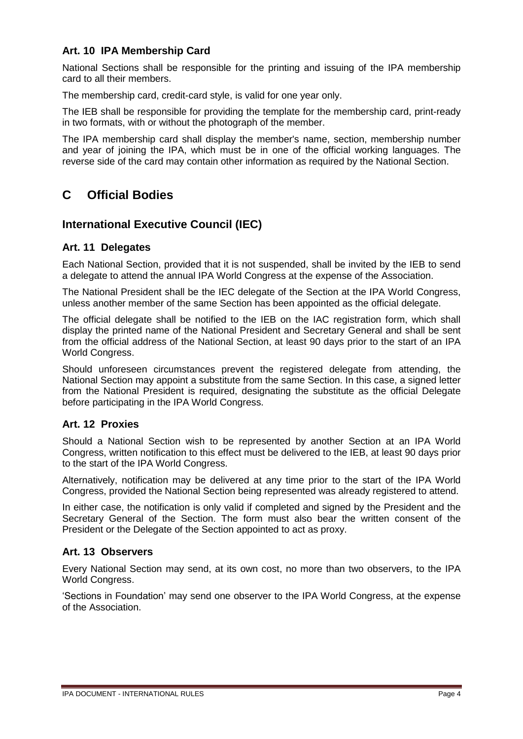# **Art. 10 IPA Membership Card**

National Sections shall be responsible for the printing and issuing of the IPA membership card to all their members.

The membership card, credit-card style, is valid for one year only.

The IEB shall be responsible for providing the template for the membership card, print-ready in two formats, with or without the photograph of the member.

The IPA membership card shall display the member's name, section, membership number and year of joining the IPA, which must be in one of the official working languages. The reverse side of the card may contain other information as required by the National Section.

# **C Official Bodies**

# **International Executive Council (IEC)**

### **Art. 11 Delegates**

Each National Section, provided that it is not suspended, shall be invited by the IEB to send a delegate to attend the annual IPA World Congress at the expense of the Association.

The National President shall be the IEC delegate of the Section at the IPA World Congress, unless another member of the same Section has been appointed as the official delegate.

The official delegate shall be notified to the IEB on the IAC registration form, which shall display the printed name of the National President and Secretary General and shall be sent from the official address of the National Section, at least 90 days prior to the start of an IPA World Congress.

Should unforeseen circumstances prevent the registered delegate from attending, the National Section may appoint a substitute from the same Section. In this case, a signed letter from the National President is required, designating the substitute as the official Delegate before participating in the IPA World Congress.

### **Art. 12 Proxies**

Should a National Section wish to be represented by another Section at an IPA World Congress, written notification to this effect must be delivered to the IEB, at least 90 days prior to the start of the IPA World Congress.

Alternatively, notification may be delivered at any time prior to the start of the IPA World Congress, provided the National Section being represented was already registered to attend.

In either case, the notification is only valid if completed and signed by the President and the Secretary General of the Section. The form must also bear the written consent of the President or the Delegate of the Section appointed to act as proxy.

### **Art. 13 Observers**

Every National Section may send, at its own cost, no more than two observers, to the IPA World Congress.

'Sections in Foundation' may send one observer to the IPA World Congress, at the expense of the Association.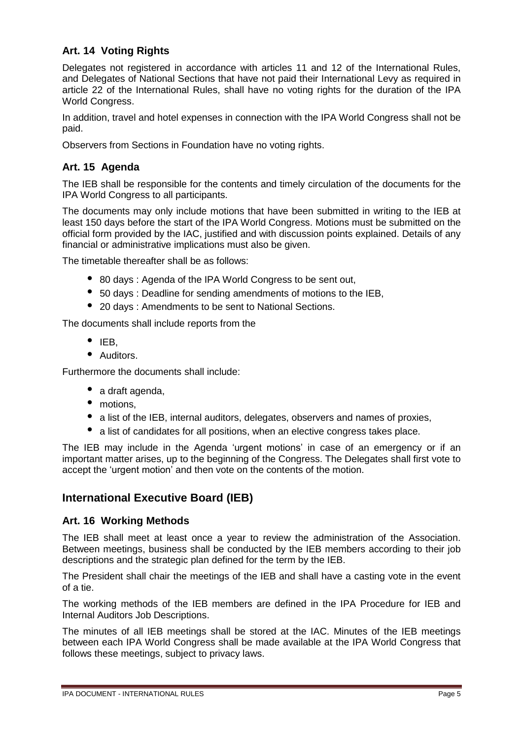# **Art. 14 Voting Rights**

Delegates not registered in accordance with articles 11 and 12 of the International Rules, and Delegates of National Sections that have not paid their International Levy as required in article 22 of the International Rules, shall have no voting rights for the duration of the IPA World Congress.

In addition, travel and hotel expenses in connection with the IPA World Congress shall not be paid.

Observers from Sections in Foundation have no voting rights.

# **Art. 15 Agenda**

The IEB shall be responsible for the contents and timely circulation of the documents for the IPA World Congress to all participants.

The documents may only include motions that have been submitted in writing to the IEB at least 150 days before the start of the IPA World Congress. Motions must be submitted on the official form provided by the IAC, justified and with discussion points explained. Details of any financial or administrative implications must also be given.

The timetable thereafter shall be as follows:

- 80 days : Agenda of the IPA World Congress to be sent out,
- 50 days : Deadline for sending amendments of motions to the IEB,
- 20 days : Amendments to be sent to National Sections.

The documents shall include reports from the

- $\bullet$  IEB,
- Auditors.

Furthermore the documents shall include:

- a draft agenda,
- motions,
- a list of the IEB, internal auditors, delegates, observers and names of proxies,
- a list of candidates for all positions, when an elective congress takes place.

The IEB may include in the Agenda 'urgent motions' in case of an emergency or if an important matter arises, up to the beginning of the Congress. The Delegates shall first vote to accept the 'urgent motion' and then vote on the contents of the motion.

# **International Executive Board (IEB)**

### **Art. 16 Working Methods**

The IEB shall meet at least once a year to review the administration of the Association. Between meetings, business shall be conducted by the IEB members according to their job descriptions and the strategic plan defined for the term by the IEB.

The President shall chair the meetings of the IEB and shall have a casting vote in the event of a tie.

The working methods of the IEB members are defined in the IPA Procedure for IEB and Internal Auditors Job Descriptions.

The minutes of all IEB meetings shall be stored at the IAC. Minutes of the IEB meetings between each IPA World Congress shall be made available at the IPA World Congress that follows these meetings, subject to privacy laws.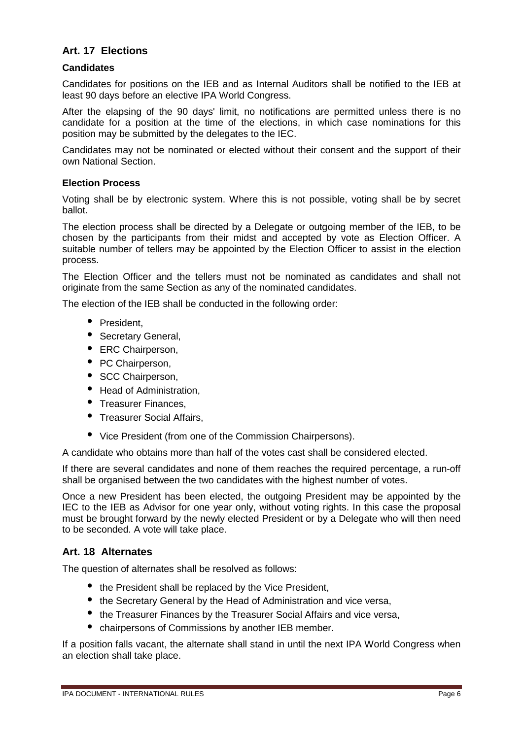# **Art. 17 Elections**

### **Candidates**

Candidates for positions on the IEB and as Internal Auditors shall be notified to the IEB at least 90 days before an elective IPA World Congress.

After the elapsing of the 90 days' limit, no notifications are permitted unless there is no candidate for a position at the time of the elections, in which case nominations for this position may be submitted by the delegates to the IEC.

Candidates may not be nominated or elected without their consent and the support of their own National Section.

### **Election Process**

Voting shall be by electronic system. Where this is not possible, voting shall be by secret ballot.

The election process shall be directed by a Delegate or outgoing member of the IEB, to be chosen by the participants from their midst and accepted by vote as Election Officer. A suitable number of tellers may be appointed by the Election Officer to assist in the election process.

The Election Officer and the tellers must not be nominated as candidates and shall not originate from the same Section as any of the nominated candidates.

The election of the IEB shall be conducted in the following order:

- President.
- Secretary General,
- ERC Chairperson,
- PC Chairperson,
- SCC Chairperson,
- Head of Administration,
- Treasurer Finances,
- Treasurer Social Affairs.
- Vice President (from one of the Commission Chairpersons).

A candidate who obtains more than half of the votes cast shall be considered elected.

If there are several candidates and none of them reaches the required percentage, a run-off shall be organised between the two candidates with the highest number of votes.

Once a new President has been elected, the outgoing President may be appointed by the IEC to the IEB as Advisor for one year only, without voting rights. In this case the proposal must be brought forward by the newly elected President or by a Delegate who will then need to be seconded. A vote will take place.

### **Art. 18 Alternates**

The question of alternates shall be resolved as follows:

- the President shall be replaced by the Vice President,
- the Secretary General by the Head of Administration and vice versa.
- the Treasurer Finances by the Treasurer Social Affairs and vice versa,
- chairpersons of Commissions by another IEB member.

If a position falls vacant, the alternate shall stand in until the next IPA World Congress when an election shall take place.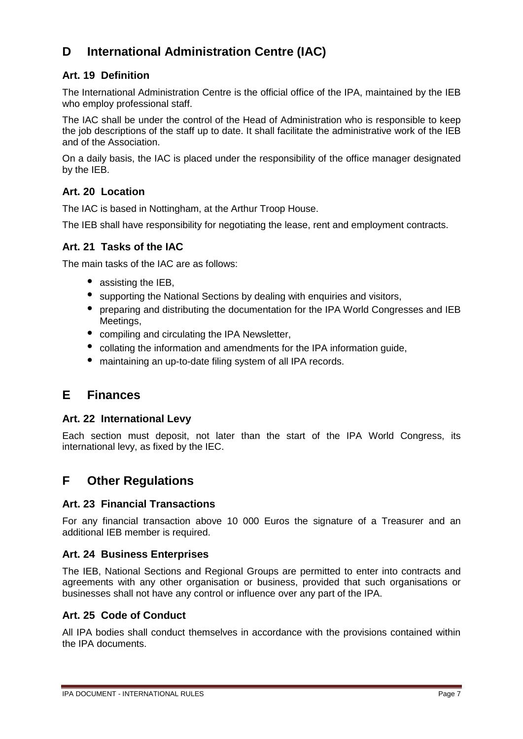# **D International Administration Centre (IAC)**

# **Art. 19 Definition**

The International Administration Centre is the official office of the IPA, maintained by the IEB who employ professional staff.

The IAC shall be under the control of the Head of Administration who is responsible to keep the job descriptions of the staff up to date. It shall facilitate the administrative work of the IEB and of the Association.

On a daily basis, the IAC is placed under the responsibility of the office manager designated by the IEB.

# **Art. 20 Location**

The IAC is based in Nottingham, at the Arthur Troop House.

The IEB shall have responsibility for negotiating the lease, rent and employment contracts.

# **Art. 21 Tasks of the IAC**

The main tasks of the IAC are as follows:

- assisting the IEB,
- supporting the National Sections by dealing with enquiries and visitors,
- preparing and distributing the documentation for the IPA World Congresses and IEB Meetings,
- compiling and circulating the IPA Newsletter.
- collating the information and amendments for the IPA information guide,
- maintaining an up-to-date filing system of all IPA records.

# **E Finances**

# **Art. 22 International Levy**

Each section must deposit, not later than the start of the IPA World Congress, its international levy, as fixed by the IEC.

# **F Other Regulations**

# **Art. 23 Financial Transactions**

For any financial transaction above 10 000 Euros the signature of a Treasurer and an additional IEB member is required.

### **Art. 24 Business Enterprises**

The IEB, National Sections and Regional Groups are permitted to enter into contracts and agreements with any other organisation or business, provided that such organisations or businesses shall not have any control or influence over any part of the IPA.

# **Art. 25 Code of Conduct**

All IPA bodies shall conduct themselves in accordance with the provisions contained within the IPA documents.